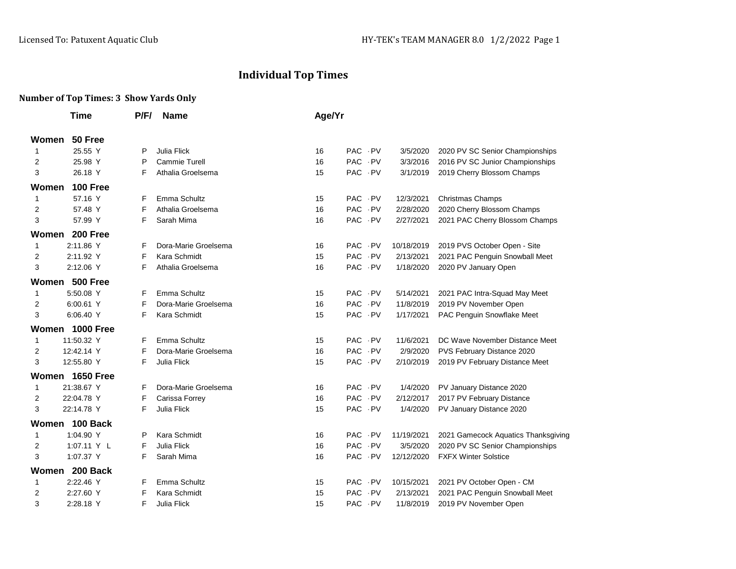## **Individual Top Times**

## **Number of Top Times: 3 Show Yards Only**

|       | Time            | P/F/ | <b>Name</b>          | Age/Yr |            |      |            |                                     |  |
|-------|-----------------|------|----------------------|--------|------------|------|------------|-------------------------------------|--|
| Women | 50 Free         |      |                      |        |            |      |            |                                     |  |
| 1     | 25.55 Y         | P    | <b>Julia Flick</b>   | 16     | PAC PV     |      | 3/5/2020   | 2020 PV SC Senior Championships     |  |
| 2     | 25.98 Y         | P    | <b>Cammie Turell</b> | 16     | PAC PV     |      | 3/3/2016   | 2016 PV SC Junior Championships     |  |
| 3     | 26.18 Y         | F    | Athalia Groelsema    | 15     | PAC PV     |      | 3/1/2019   | 2019 Cherry Blossom Champs          |  |
| Women | <b>100 Free</b> |      |                      |        |            |      |            |                                     |  |
| 1     | 57.16 Y         | F    | Emma Schultz         | 15     | PAC PV     |      | 12/3/2021  | <b>Christmas Champs</b>             |  |
| 2     | 57.48 Y         | F    | Athalia Groelsema    | 16     | PAC PV     |      | 2/28/2020  | 2020 Cherry Blossom Champs          |  |
| 3     | 57.99 Y         | F    | Sarah Mima           | 16     | PAC PV     |      | 2/27/2021  | 2021 PAC Cherry Blossom Champs      |  |
| Women | <b>200 Free</b> |      |                      |        |            |      |            |                                     |  |
| 1     | 2:11.86 Y       | F    | Dora-Marie Groelsema | 16     | <b>PAC</b> | . PV | 10/18/2019 | 2019 PVS October Open - Site        |  |
| 2     | 2:11.92 Y       | F    | Kara Schmidt         | 15     | PAC PV     |      | 2/13/2021  | 2021 PAC Penguin Snowball Meet      |  |
| 3     | 2:12.06 Y       | F    | Athalia Groelsema    | 16     | PAC PV     |      | 1/18/2020  | 2020 PV January Open                |  |
|       | Women 500 Free  |      |                      |        |            |      |            |                                     |  |
| 1     | 5:50.08 Y       | F    | Emma Schultz         | 15     | PAC PV     |      | 5/14/2021  | 2021 PAC Intra-Squad May Meet       |  |
| 2     | 6:00.61 Y       | F    | Dora-Marie Groelsema | 16     | PAC PV     |      | 11/8/2019  | 2019 PV November Open               |  |
| 3     | 6:06.40 Y       | F    | Kara Schmidt         | 15     | PAC PV     |      | 1/17/2021  | PAC Penguin Snowflake Meet          |  |
|       | Women 1000 Free |      |                      |        |            |      |            |                                     |  |
| 1     | 11:50.32 Y      | F    | Emma Schultz         | 15     | <b>PAC</b> | - PV | 11/6/2021  | DC Wave November Distance Meet      |  |
| 2     | 12:42.14 Y      | F    | Dora-Marie Groelsema | 16     | PAC PV     |      | 2/9/2020   | PVS February Distance 2020          |  |
| 3     | 12:55.80 Y      | F    | Julia Flick          | 15     | PAC PV     |      | 2/10/2019  | 2019 PV February Distance Meet      |  |
|       | Women 1650 Free |      |                      |        |            |      |            |                                     |  |
| 1     | 21:38.67 Y      | F    | Dora-Marie Groelsema | 16     | PAC PV     |      | 1/4/2020   | PV January Distance 2020            |  |
| 2     | 22:04.78 Y      | F    | Carissa Forrey       | 16     | PAC PV     |      | 2/12/2017  | 2017 PV February Distance           |  |
| 3     | 22:14.78 Y      | F    | <b>Julia Flick</b>   | 15     | PAC · PV   |      | 1/4/2020   | PV January Distance 2020            |  |
|       | Women 100 Back  |      |                      |        |            |      |            |                                     |  |
| 1     | 1:04.90 Y       | P    | Kara Schmidt         | 16     | PAC PV     |      | 11/19/2021 | 2021 Gamecock Aquatics Thanksgiving |  |
| 2     | 1:07.11 Y L     | F    | <b>Julia Flick</b>   | 16     | PAC PV     |      | 3/5/2020   | 2020 PV SC Senior Championships     |  |
| 3     | 1:07.37 Y       | F    | Sarah Mima           | 16     | PAC PV     |      | 12/12/2020 | <b>FXFX Winter Solstice</b>         |  |
|       | Women 200 Back  |      |                      |        |            |      |            |                                     |  |
| 1     | 2:22.46 Y       | F    | Emma Schultz         | 15     | PAC PV     |      | 10/15/2021 | 2021 PV October Open - CM           |  |
| 2     | 2:27.60 Y       | F    | Kara Schmidt         | 15     | PAC PV     |      | 2/13/2021  | 2021 PAC Penguin Snowball Meet      |  |
| 3     | 2:28.18 Y       | F    | Julia Flick          | 15     | PAC PV     |      | 11/8/2019  | 2019 PV November Open               |  |